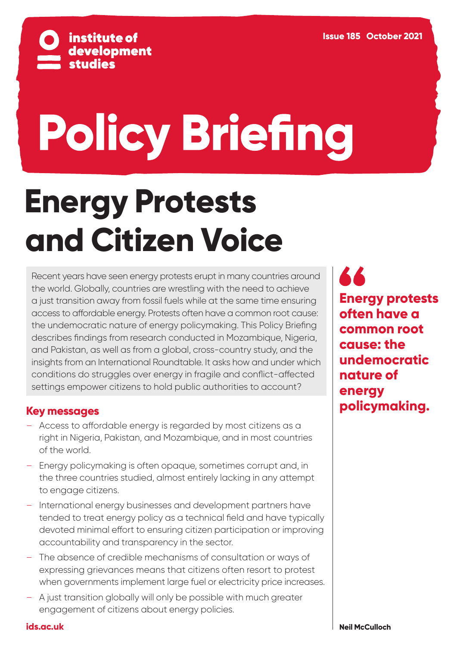

# **Policy Briefing**

# **Energy Protests and Citizen Voice**

Recent years have seen energy protests erupt in many countries around the world. Globally, countries are wrestling with the need to achieve a just transition away from fossil fuels while at the same time ensuring access to affordable energy. Protests often have a common root cause: the undemocratic nature of energy policymaking. This Policy Briefing describes findings from research conducted in Mozambique, Nigeria, and Pakistan, as well as from a global, cross-country study, and the insights from an International Roundtable. It asks how and under which conditions do struggles over energy in fragile and conflict-affected settings empower citizens to hold public authorities to account?

#### **Key messages**

- Access to affordable energy is regarded by most citizens as a right in Nigeria, Pakistan, and Mozambique, and in most countries of the world.
- Energy policymaking is often opaque, sometimes corrupt and, in the three countries studied, almost entirely lacking in any attempt to engage citizens.
- International energy businesses and development partners have tended to treat energy policy as a technical field and have typically devoted minimal effort to ensuring citizen participation or improving accountability and transparency in the sector.
- The absence of credible mechanisms of consultation or ways of expressing grievances means that citizens often resort to protest when governments implement large fuel or electricity price increases.
- A just transition globally will only be possible with much greater engagement of citizens about energy policies.

**44 Energy protests often have a common root cause: the undemocratic nature of energy policymaking.**

**[ids.ac.uk](https://www.ids.ac.uk/)**

**Neil McCulloch**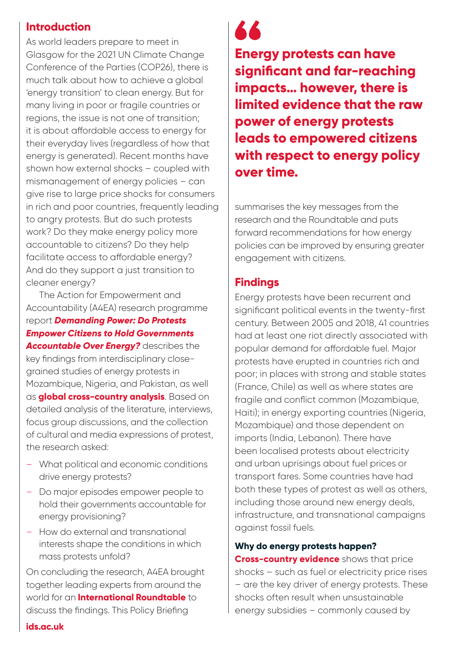#### **Introduction**

As world leaders prepare to meet in Glasgow for the 2021 UN Climate Change Conference of the Parties (COP26), there is much talk about how to achieve a global 'energy transition' to clean energy. But for many living in poor or fragile countries or regions, the issue is not one of transition; it is about affordable access to energy for their everyday lives (regardless of how that energy is generated). Recent months have shown how external shocks – coupled with mismanagement of energy policies – can give rise to large price shocks for consumers in rich and poor countries, frequently leading to angry protests. But do such protests work? Do they make energy policy more accountable to citizens? Do they help facilitate access to affordable energy? And do they support a just transition to cleaner energy?

The Action for Empowerment and Accountability (A4EA) research programme report *[Demanding Power: Do Protests](https://www.ids.ac.uk/publications/demanding-power-do-protests-empower-citizens-to-hold-governments-accountable-over-energy/)  [Empower Citizens to Hold Governments](https://www.ids.ac.uk/publications/demanding-power-do-protests-empower-citizens-to-hold-governments-accountable-over-energy/)  [Accountable Over Energy?](https://www.ids.ac.uk/publications/demanding-power-do-protests-empower-citizens-to-hold-governments-accountable-over-energy/)* describes the key findings from interdisciplinary closegrained studies of energy protests in Mozambique, Nigeria, and Pakistan, as well as **[global cross-country analysis](https://www.ids.ac.uk/publications/an-exploration-of-the-association-between-fuel-subsidies-and-fuel-riots/)**. Based on detailed analysis of the literature, interviews, focus group discussions, and the collection of cultural and media expressions of protest, the research asked:

- What political and economic conditions drive energy protests?
- Do major episodes empower people to hold their governments accountable for energy provisioning?
- How do external and transnational interests shape the conditions in which mass protests unfold?

On concluding the research, A4EA brought together leading experts from around the world for an **[International Roundtable](https://www.youtube.com/watch?v=paVz_nqC6ew)** to discuss the findings. This Policy Briefing

**AA** 

**Energy protests can have significant and far-reaching impacts… however, there is limited evidence that the raw power of energy protests leads to empowered citizens with respect to energy policy over time.** 

summarises the key messages from the research and the Roundtable and puts forward recommendations for how energy policies can be improved by ensuring greater engagement with citizens.

#### **Findings**

Energy protests have been recurrent and significant political events in the twenty-first century. Between 2005 and 2018, 41 countries had at least one riot directly associated with popular demand for affordable fuel. Major protests have erupted in countries rich and poor; in places with strong and stable states (France, Chile) as well as where states are fragile and conflict common (Mozambique, Haiti); in energy exporting countries (Nigeria, Mozambique) and those dependent on imports (India, Lebanon). There have been localised protests about electricity and urban uprisings about fuel prices or transport fares. Some countries have had both these types of protest as well as others, including those around new energy deals, infrastructure, and transnational campaigns against fossil fuels.

#### **Why do energy protests happen?**

**[Cross-country evidence](https://www.ids.ac.uk/publications/an-exploration-of-the-association-between-fuel-subsidies-and-fuel-riots/)** shows that price shocks – such as fuel or electricity price rises – are the key driver of energy protests. These shocks often result when unsustainable energy subsidies – commonly caused by

**[ids.ac.uk](https://www.ids.ac.uk/)**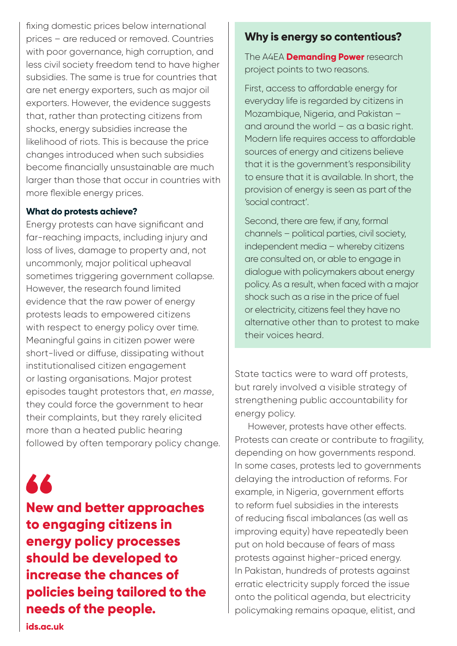fixing domestic prices below international prices – are reduced or removed. Countries with poor governance, high corruption, and less civil society freedom tend to have higher subsidies. The same is true for countries that are net energy exporters, such as major oil exporters. However, the evidence suggests that, rather than protecting citizens from shocks, energy subsidies increase the likelihood of riots. This is because the price changes introduced when such subsidies become financially unsustainable are much larger than those that occur in countries with more flexible energy prices.

#### **What do protests achieve?**

Energy protests can have significant and far-reaching impacts, including injury and loss of lives, damage to property and, not uncommonly, major political upheaval sometimes triggering government collapse. However, the research found limited evidence that the raw power of energy protests leads to empowered citizens with respect to energy policy over time. Meaningful gains in citizen power were short-lived or diffuse, dissipating without institutionalised citizen engagement or lasting organisations. Major protest episodes taught protestors that, *en masse*, they could force the government to hear their complaints, but they rarely elicited more than a heated public hearing followed by often temporary policy change.

## 66

**New and better approaches to engaging citizens in energy policy processes should be developed to increase the chances of policies being tailored to the needs of the people.**

#### **Why is energy so contentious?**

The A4EA **[Demanding Power](https://www.ids.ac.uk/projects/demanding-power-struggles-over-energy-access-in-fragile-settings-a4ea/)** research The A4EA **[Demanding Power](https://www.ids.ac.uk/projects/demanding-power-struggles-over-energy-access-in-fragile-settings-a4ea/)** research project points to two reasons. project points to two reasons.

First, access to affordable energy for First, access to affordable energy for everyday life is regarded by citizens in everyday life is regarded by citizens in Mozambique, Nigeria, and Pakistan – Mozambique, Nigeria, and Pakistan – and around the world – as a basic right. and around the world – as a basic right. Modern life requires access to affordable Modern life requires access to affordable sources of energy and citizens believe sources of energy and citizens believe that it is the government's responsibility that it is the government's responsibility to ensure that it is available. In short, the to ensure that it is available. In short, the provision of energy is seen as part of the provision of energy is seen as part of the 'social contract'. 'social contract'.

Second, there are few, if any, formal Second, there are few, if any, formal channels – political parties, civil society, channels – political parties, civil society, independent media – whereby citizens independent media – whereby citizens are consulted on, or able to engage in are consulted on, or able to engage in dialogue with policymakers about energy dialogue with policymakers about energy policy. As a result, when faced with a major policy. As a result, when faced with a major shock such as a rise in the price of fuel shock such as a rise in the price of fuel or electricity, citizens feel they have no or electricity, citizens feel they have no alternative other than to protest to make alternative other than to protest to make their voices heard. their voices heard.

State tactics were to ward off protests, but rarely involved a visible strategy of strengthening public accountability for energy policy.

However, protests have other effects. Protests can create or contribute to fragility, depending on how governments respond. In some cases, protests led to governments delaying the introduction of reforms. For example, in Nigeria, government efforts to reform fuel subsidies in the interests of reducing fiscal imbalances (as well as improving equity) have repeatedly been put on hold because of fears of mass protests against higher-priced energy. In Pakistan, hundreds of protests against erratic electricity supply forced the issue onto the political agenda, but electricity policymaking remains opaque, elitist, and

**[ids.ac.uk](https://www.ids.ac.uk/)**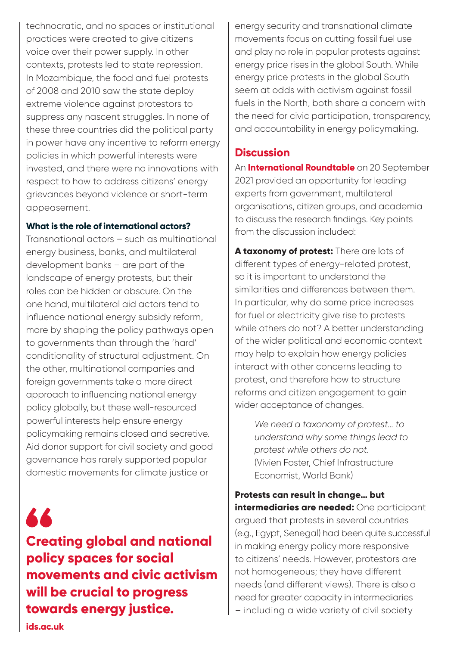technocratic, and no spaces or institutional practices were created to give citizens voice over their power supply. In other contexts, protests led to state repression. In Mozambique, the food and fuel protests of 2008 and 2010 saw the state deploy extreme violence against protestors to suppress any nascent struggles. In none of these three countries did the political party in power have any incentive to reform energy policies in which powerful interests were invested, and there were no innovations with respect to how to address citizens' energy grievances beyond violence or short-term appeasement.

#### **What is the role of international actors?**

Transnational actors – such as multinational energy business, banks, and multilateral development banks – are part of the landscape of energy protests, but their roles can be hidden or obscure. On the one hand, multilateral aid actors tend to influence national energy subsidy reform, more by shaping the policy pathways open to governments than through the 'hard' conditionality of structural adjustment. On the other, multinational companies and foreign governments take a more direct approach to influencing national energy policy globally, but these well-resourced powerful interests help ensure energy policymaking remains closed and secretive. Aid donor support for civil society and good governance has rarely supported popular domestic movements for climate justice or

66 **Creating global and national policy spaces for social movements and civic activism will be crucial to progress towards energy justice.** 

energy security and transnational climate movements focus on cutting fossil fuel use and play no role in popular protests against energy price rises in the global South. While energy price protests in the global South seem at odds with activism against fossil fuels in the North, both share a concern with the need for civic participation, transparency, and accountability in energy policymaking.

#### **Discussion**

An **[International Roundtable](https://www.youtube.com/watch?v=paVz_nqC6ew)** on 20 September 2021 provided an opportunity for leading experts from government, multilateral organisations, citizen groups, and academia to discuss the research findings. Key points from the discussion included:

**A taxonomy of protest:** There are lots of different types of energy-related protest, so it is important to understand the similarities and differences between them. In particular, why do some price increases for fuel or electricity give rise to protests while others do not? A better understanding of the wider political and economic context may help to explain how energy policies interact with other concerns leading to protest, and therefore how to structure reforms and citizen engagement to gain wider acceptance of changes.

> *We need a taxonomy of protest… to understand why some things lead to protest while others do not.* (Vivien Foster, Chief Infrastructure Economist, World Bank)

**Protests can result in change… but intermediaries are needed:** One participant argued that protests in several countries (e.g., Egypt, Senegal) had been quite successful in making energy policy more responsive to citizens' needs. However, protestors are not homogeneous; they have different needs (and different views). There is also a need for greater capacity in intermediaries – including a wide variety of civil society

**[ids.ac.uk](https://www.ids.ac.uk/)**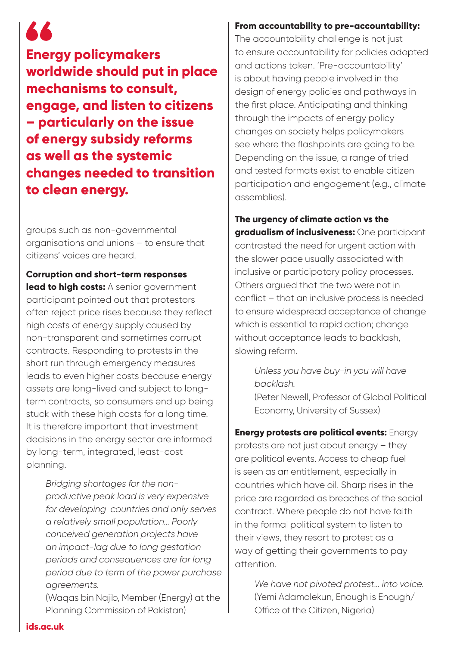### 66

**Energy policymakers worldwide should put in place mechanisms to consult, engage, and listen to citizens – particularly on the issue of energy subsidy reforms as well as the systemic changes needed to transition to clean energy.** 

groups such as non-governmental organisations and unions – to ensure that citizens' voices are heard.

**Corruption and short-term responses lead to high costs:** A senior government participant pointed out that protestors often reject price rises because they reflect high costs of energy supply caused by non-transparent and sometimes corrupt contracts. Responding to protests in the short run through emergency measures leads to even higher costs because energy assets are long-lived and subject to longterm contracts, so consumers end up being stuck with these high costs for a long time. It is therefore important that investment decisions in the energy sector are informed by long-term, integrated, least-cost planning.

> *Bridging shortages for the nonproductive peak load is very expensive for developing countries and only serves a relatively small population… Poorly conceived generation projects have an impact-lag due to long gestation periods and consequences are for long period due to term of the power purchase agreements.*

(Waqas bin Najib, Member (Energy) at the Planning Commission of Pakistan)

#### **From accountability to pre-accountability:**

The accountability challenge is not just to ensure accountability for policies adopted and actions taken. 'Pre-accountability' is about having people involved in the design of energy policies and pathways in the first place. Anticipating and thinking through the impacts of energy policy changes on society helps policymakers see where the flashpoints are going to be. Depending on the issue, a range of tried and tested formats exist to enable citizen participation and engagement (e.g., climate assemblies).

**The urgency of climate action vs the gradualism of inclusiveness:** One participant contrasted the need for urgent action with the slower pace usually associated with inclusive or participatory policy processes. Others argued that the two were not in conflict – that an inclusive process is needed to ensure widespread acceptance of change which is essential to rapid action; change without acceptance leads to backlash, slowing reform.

> *Unless you have buy-in you will have backlash.*

(Peter Newell, Professor of Global Political Economy, University of Sussex)

#### **Energy protests are political events:** Energy protests are not just about energy – they are political events. Access to cheap fuel is seen as an entitlement, especially in countries which have oil. Sharp rises in the price are regarded as breaches of the social contract. Where people do not have faith in the formal political system to listen to their views, they resort to protest as a way of getting their governments to pay attention.

*We have not pivoted protest… into voice.* (Yemi Adamolekun, Enough is Enough/ Office of the Citizen, Nigeria)